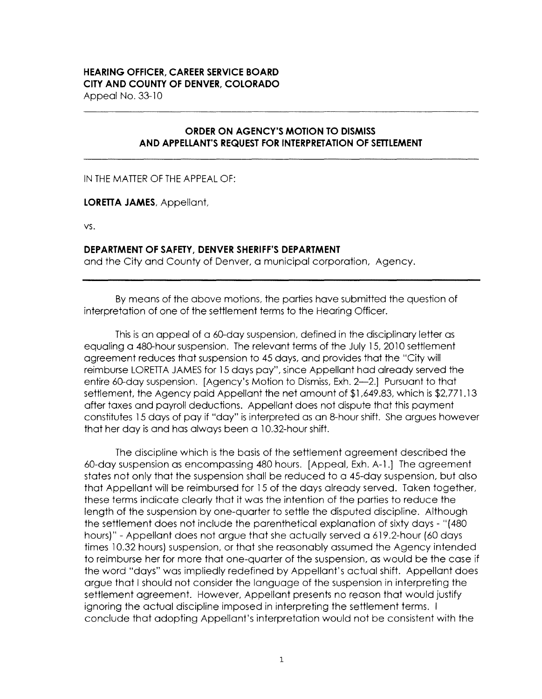## **HEARING OFFICER, CAREER SERVICE BOARD CITY AND COUNTY OF DENVER, COLORADO**

Appeal No. 33-10

## **ORDER ON AGENCY'S MOTION TO DISMISS AND APPELLANT'S REQUEST FOR INTERPRETATION OF SETTLEMENT**

IN THE MATTER OF THE APPEAL OF:

**LORETTA JAMES,** Appellant,

vs.

## **DEPARTMENT OF SAFETY, DENVER SHERIFF'S DEPARTMENT**

and the City and County of Denver, a municipal corporation, Agency.

By means of the above motions, the parties have submitted the question of interpretation of one of the settlement terms to the Hearing Officer.

This is an appeal of a 60-day suspension, defined in the disciplinary letter as equaling a 480-hour suspension. The relevant terms of the July 15, 2010 settlement agreement reduces that suspension to 45 days, and provides that the "City will reimburse LORETTA JAMES for 15 days pay", since Appellant had already served the entire 60-day suspension. [Agency's Motion to Dismiss, Exh. 2-2.] Pursuant to that settlement, the Agency paid Appellant the net amount of \$1,649.83, which is \$2,771.13 after taxes and payroll deductions. Appellant does not dispute that this payment constitutes 15 days of pay if "day" is interpreted as an 8-hour shift. She argues however that her day is and has always been a 10.32-hour shift.

The discipline which is the basis of the settlement agreement described the 60-day suspension as encompassing 480 hours. [Appeal, Exh. A-1.] The agreement states not only that the suspension shall be reduced to a 45-day suspension, but also that Appellant will be reimbursed for 15 of the days already served. Taken together, these terms indicate clearly that it was the intention of the parties to reduce the length of the suspension by one-quarter to settle the disputed discipline. Although the settlement does not include the parenthetical explanation of sixty days - "(480 hours)" -Appellant does not argue that she actually served a 619.2-hour (60 days times 10.32 hours) suspension, or that she reasonably assumed the Agency intended to reimburse her for more that one-quarter of the suspension, as would be the case if the word "days" was impliedly redefined by Appellant's actual shift. Appellant does argue that I should not consider the language of the suspension in interpreting the settlement agreement. However, Appellant presents no reason that would justify ignoring the actual discipline imposed in interpreting the settlement terms. I conclude that adopting Appellant's interpretation would not be consistent with the